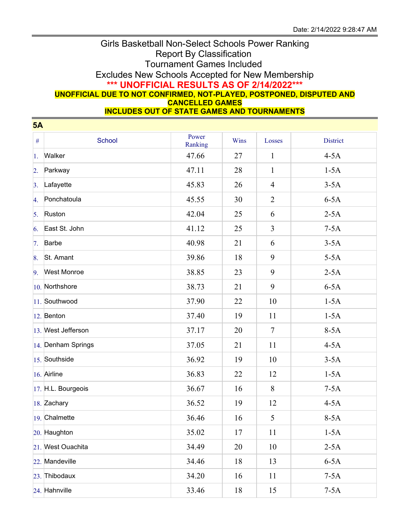## Girls Basketball Non-Select Schools Power Ranking Report By Classification Tournament Games Included Excludes New Schools Accepted for New Membership **\*\*\* UNOFFICIAL RESULTS AS OF 2/14/2022\*\*\* UNOFFICIAL DUE TO NOT CONFIRMED, NOT-PLAYED, POSTPONED, DISPUTED AND CANCELLED GAMES INCLUDES OUT OF STATE GAMES AND TOURNAMENTS**

|                  | 5A                 |                  |      |                |                 |  |  |  |
|------------------|--------------------|------------------|------|----------------|-----------------|--|--|--|
| $\#$             | School             | Power<br>Ranking | Wins | Losses         | <b>District</b> |  |  |  |
| 1.               | Walker             | 47.66            | 27   | $\mathbf{1}$   | $4-5A$          |  |  |  |
| $\overline{2}$ . | Parkway            | 47.11            | 28   | $\mathbf{1}$   | $1-5A$          |  |  |  |
| 3.               | Lafayette          | 45.83            | 26   | $\overline{4}$ | $3-5A$          |  |  |  |
| 4.               | Ponchatoula        | 45.55            | 30   | $\overline{2}$ | $6-5A$          |  |  |  |
| 5.               | Ruston             | 42.04            | 25   | 6              | $2-5A$          |  |  |  |
| 6.               | East St. John      | 41.12            | 25   | $\mathfrak{Z}$ | $7-5A$          |  |  |  |
| 7.               | Barbe              | 40.98            | 21   | 6              | $3-5A$          |  |  |  |
| 8.               | St. Amant          | 39.86            | 18   | 9              | $5-5A$          |  |  |  |
| 9.               | <b>West Monroe</b> | 38.85            | 23   | 9              | $2-5A$          |  |  |  |
|                  | $10.$ Northshore   | 38.73            | 21   | 9              | $6-5A$          |  |  |  |
|                  | 11. Southwood      | 37.90            | 22   | 10             | $1-5A$          |  |  |  |
|                  | 12. Benton         | 37.40            | 19   | 11             | $1-5A$          |  |  |  |
|                  | 13. West Jefferson | 37.17            | 20   | $\tau$         | $8-5A$          |  |  |  |
|                  | 14. Denham Springs | 37.05            | 21   | 11             | $4-5A$          |  |  |  |
|                  | $15.$ Southside    | 36.92            | 19   | 10             | $3-5A$          |  |  |  |
|                  | 16. Airline        | 36.83            | 22   | 12             | $1-5A$          |  |  |  |
|                  | 17. H.L. Bourgeois | 36.67            | 16   | 8              | $7-5A$          |  |  |  |
|                  | 18. Zachary        | 36.52            | 19   | 12             | $4-5A$          |  |  |  |
|                  | 19. Chalmette      | 36.46            | 16   | 5              | $8-5A$          |  |  |  |
|                  | 20. Haughton       | 35.02            | 17   | 11             | $1-5A$          |  |  |  |
|                  | 21. West Ouachita  | 34.49            | 20   | 10             | $2-5A$          |  |  |  |
|                  | 22. Mandeville     | 34.46            | 18   | 13             | $6-5A$          |  |  |  |
|                  | 23. Thibodaux      | 34.20            | 16   | 11             | $7-5A$          |  |  |  |
|                  | 24. Hahnville      | 33.46            | 18   | 15             | $7-5A$          |  |  |  |